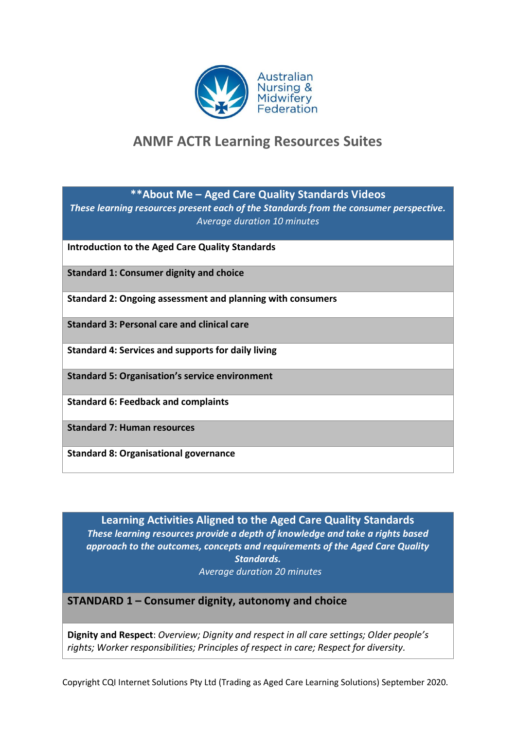

# **ANMF ACTR Learning Resources Suites**

**\*\*About Me – Aged Care Quality Standards Videos**

*These learning resources present each of the Standards from the consumer perspective. Average duration 10 minutes*

**Introduction to the Aged Care Quality Standards**

**Standard 1: Consumer dignity and choice** 

**Standard 2: Ongoing assessment and planning with consumers**

**Standard 3: Personal care and clinical care**

**Standard 4: Services and supports for daily living**

**Standard 5: Organisation's service environment**

**Standard 6: Feedback and complaints**

**Standard 7: Human resources**

**Standard 8: Organisational governance**

**Learning Activities Aligned to the Aged Care Quality Standards** *These learning resources provide a depth of knowledge and take a rights based approach to the outcomes, concepts and requirements of the Aged Care Quality Standards. Average duration 20 minutes*

**STANDARD 1 – Consumer dignity, autonomy and choice**

**Dignity and Respect**: *Overview; Dignity and respect in all care settings; Older people's rights; Worker responsibilities; Principles of respect in care; Respect for diversity.*

Copyright CQI Internet Solutions Pty Ltd (Trading as Aged Care Learning Solutions) September 2020.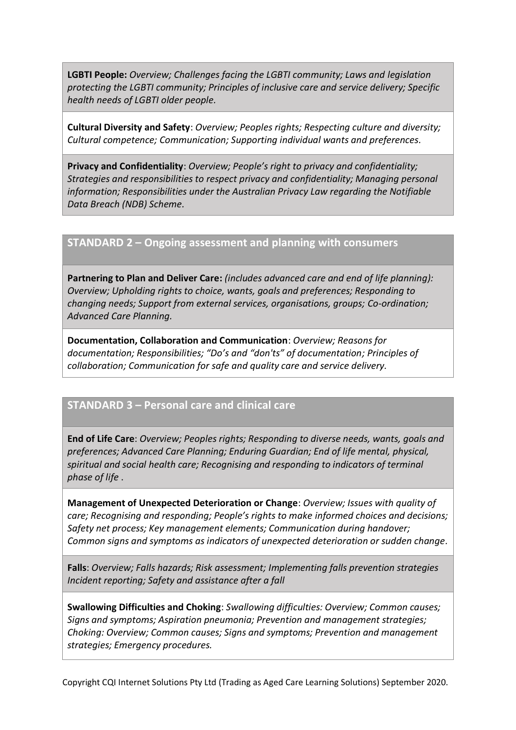**LGBTI People:** *Overview; Challenges facing the LGBTI community; Laws and legislation protecting the LGBTI community; Principles of inclusive care and service delivery; Specific health needs of LGBTI older people.*

**Cultural Diversity and Safety**: *Overview; Peoples rights; Respecting culture and diversity; Cultural competence; Communication; Supporting individual wants and preferences.*

**Privacy and Confidentiality**: *Overview; People's right to privacy and confidentiality; Strategies and responsibilities to respect privacy and confidentiality; Managing personal information; Responsibilities under the Australian Privacy Law regarding the Notifiable Data Breach (NDB) Scheme.*

#### **STANDARD 2 – Ongoing assessment and planning with consumers**

**Partnering to Plan and Deliver Care:** *(includes advanced care and end of life planning): Overview; Upholding rights to choice, wants, goals and preferences; Responding to changing needs; Support from external services, organisations, groups; Co-ordination; Advanced Care Planning.*

**Documentation, Collaboration and Communication**: *Overview; Reasons for documentation; Responsibilities; "Do's and "don'ts" of documentation; Principles of collaboration; Communication for safe and quality care and service delivery.*

# **STANDARD 3 – Personal care and clinical care**

**End of Life Care**: *Overview; Peoples rights; Responding to diverse needs, wants, goals and preferences; Advanced Care Planning; Enduring Guardian; End of life mental, physical, spiritual and social health care; Recognising and responding to indicators of terminal phase of life* .

**Management of Unexpected Deterioration or Change**: *Overview; Issues with quality of care; Recognising and responding; People's rights to make informed choices and decisions; Safety net process; Key management elements; Communication during handover; Common signs and symptoms as indicators of unexpected deterioration or sudden change.*

**Falls**: *Overview; Falls hazards; Risk assessment; Implementing falls prevention strategies Incident reporting; Safety and assistance after a fall*

**Swallowing Difficulties and Choking**: *Swallowing difficulties: Overview; Common causes; Signs and symptoms; Aspiration pneumonia; Prevention and management strategies; Choking: Overview; Common causes; Signs and symptoms; Prevention and management strategies; Emergency procedures.*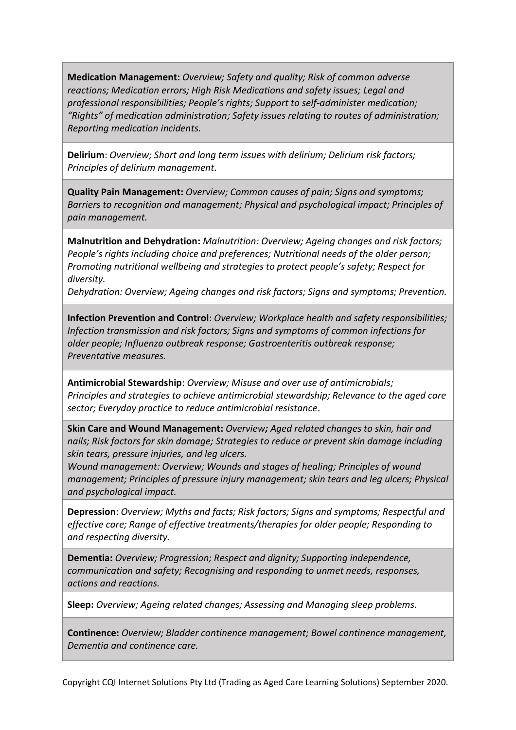**Medication Management:** *Overview; Safety and quality; Risk of common adverse reactions; Medication errors; High Risk Medications and safety issues; Legal and professional responsibilities; People's rights; Support to self-administer medication; "Rights" of medication administration; Safety issues relating to routes of administration; Reporting medication incidents.*

**Delirium**: *Overview; Short and long term issues with delirium; Delirium risk factors; Principles of delirium management.*

**Quality Pain Management:** *Overview; Common causes of pain; Signs and symptoms; Barriers to recognition and management; Physical and psychological impact; Principles of pain management.*

**Malnutrition and Dehydration:** *Malnutrition: Overview; Ageing changes and risk factors; People's rights including choice and preferences; Nutritional needs of the older person; Promoting nutritional wellbeing and strategies to protect people's safety; Respect for diversity.* 

*Dehydration: Overview; Ageing changes and risk factors; Signs and symptoms; Prevention.*

**Infection Prevention and Control**: *Overview; Workplace health and safety responsibilities; Infection transmission and risk factors; Signs and symptoms of common infections for older people; Influenza outbreak response; Gastroenteritis outbreak response; Preventative measures.*

**Antimicrobial Stewardship**: *Overview; Misuse and over use of antimicrobials; Principles and strategies to achieve antimicrobial stewardship; Relevance to the aged care sector; Everyday practice to reduce antimicrobial resistance.*

**Skin Care and Wound Management:** *Overview; Aged related changes to skin, hair and nails; Risk factors for skin damage; Strategies to reduce or prevent skin damage including skin tears, pressure injuries, and leg ulcers.*

*Wound management: Overview; Wounds and stages of healing; Principles of wound management; Principles of pressure injury management; skin tears and leg ulcers; Physical and psychological impact.*

**Depression**: *Overview; Myths and facts; Risk factors; Signs and symptoms; Respectful and effective care; Range of effective treatments/therapies for older people; Responding to and respecting diversity.*

**Dementia:** *Overview; Progression; Respect and dignity; Supporting independence, communication and safety; Recognising and responding to unmet needs, responses, actions and reactions.*

**Sleep:** *Overview; Ageing related changes; Assessing and Managing sleep problems.*

**Continence:** *Overview; Bladder continence management; Bowel continence management, Dementia and continence care.*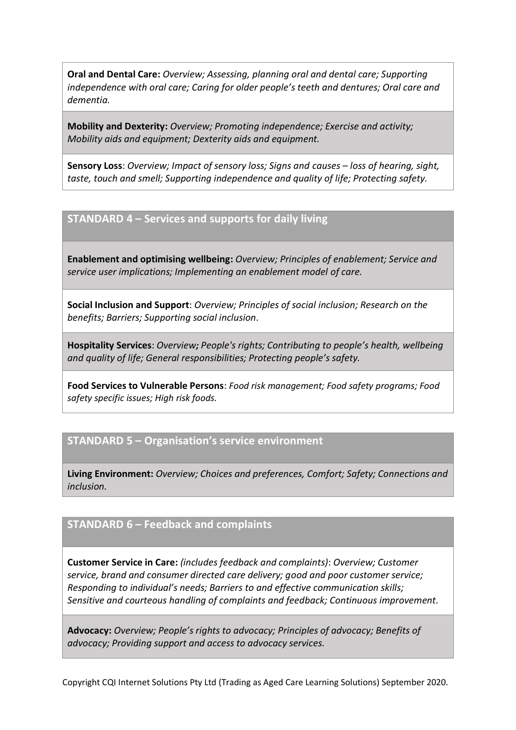**Oral and Dental Care:** *Overview; Assessing, planning oral and dental care; Supporting independence with oral care; Caring for older people's teeth and dentures; Oral care and dementia.*

**Mobility and Dexterity:** *Overview; Promoting independence; Exercise and activity; Mobility aids and equipment; Dexterity aids and equipment.*

**Sensory Loss**: *Overview; Impact of sensory loss; Signs and causes – loss of hearing, sight, taste, touch and smell; Supporting independence and quality of life; Protecting safety.*

# **STANDARD 4 – Services and supports for daily living**

**Enablement and optimising wellbeing:** *Overview; Principles of enablement; Service and service user implications; Implementing an enablement model of care.*

**Social Inclusion and Support**: *Overview; Principles of social inclusion; Research on the benefits; Barriers; Supporting social inclusion.*

**Hospitality Services**: *Overview; People's rights; Contributing to people's health, wellbeing and quality of life; General responsibilities; Protecting people's safety.*

**Food Services to Vulnerable Persons**: *Food risk management; Food safety programs; Food safety specific issues; High risk foods.*

### **STANDARD 5 – Organisation's service environment**

**Living Environment:** *Overview; Choices and preferences, Comfort; Safety; Connections and inclusion.*

#### **STANDARD 6 – Feedback and complaints**

**Customer Service in Care:** *(includes feedback and complaints)*: *Overview; Customer service, brand and consumer directed care delivery; good and poor customer service; Responding to individual's needs; Barriers to and effective communication skills; Sensitive and courteous handling of complaints and feedback; Continuous improvement.*

**Advocacy:** *Overview; People's rights to advocacy; Principles of advocacy; Benefits of advocacy; Providing support and access to advocacy services.*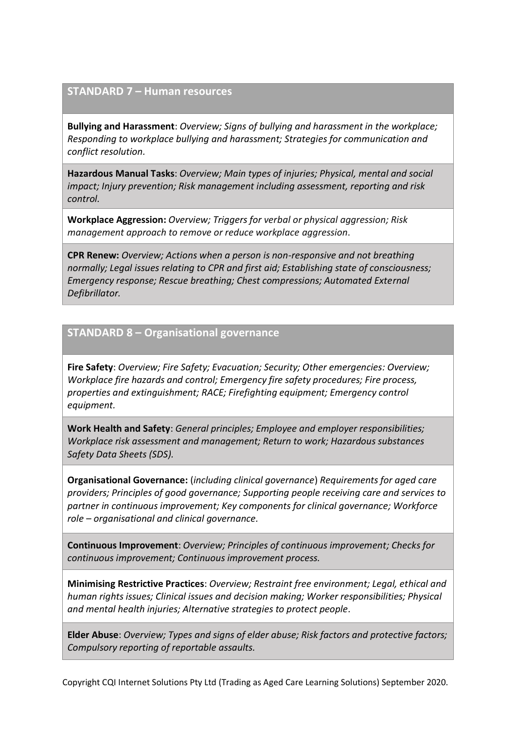### **STANDARD 7 – Human resources**

**Bullying and Harassment**: *Overview; Signs of bullying and harassment in the workplace; Responding to workplace bullying and harassment; Strategies for communication and conflict resolution.*

**Hazardous Manual Tasks**: *Overview; Main types of injuries; Physical, mental and social impact; Injury prevention; Risk management including assessment, reporting and risk control.*

**Workplace Aggression:** *Overview; Triggers for verbal or physical aggression; Risk management approach to remove or reduce workplace aggression*.

**CPR Renew:** *Overview; Actions when a person is non-responsive and not breathing normally; Legal issues relating to CPR and first aid; Establishing state of consciousness; Emergency response; Rescue breathing; Chest compressions; Automated External Defibrillator.*

# **STANDARD 8 – Organisational governance**

**Fire Safety**: *Overview; Fire Safety; Evacuation; Security; Other emergencies: Overview; Workplace fire hazards and control; Emergency fire safety procedures; Fire process, properties and extinguishment; RACE; Firefighting equipment; Emergency control equipment.*

**Work Health and Safety**: *General principles; Employee and employer responsibilities; Workplace risk assessment and management; Return to work; Hazardous substances Safety Data Sheets (SDS).*

**Organisational Governance:** (*including clinical governance*) *Requirements for aged care providers; Principles of good governance; Supporting people receiving care and services to partner in continuous improvement; Key components for clinical governance; Workforce role – organisational and clinical governance.*

**Continuous Improvement**: *Overview; Principles of continuous improvement; Checks for continuous improvement; Continuous improvement process.*

**Minimising Restrictive Practices**: *Overview; Restraint free environment; Legal, ethical and human rights issues; Clinical issues and decision making; Worker responsibilities; Physical and mental health injuries; Alternative strategies to protect people.*

**Elder Abuse**: *Overview; Types and signs of elder abuse; Risk factors and protective factors; Compulsory reporting of reportable assaults.*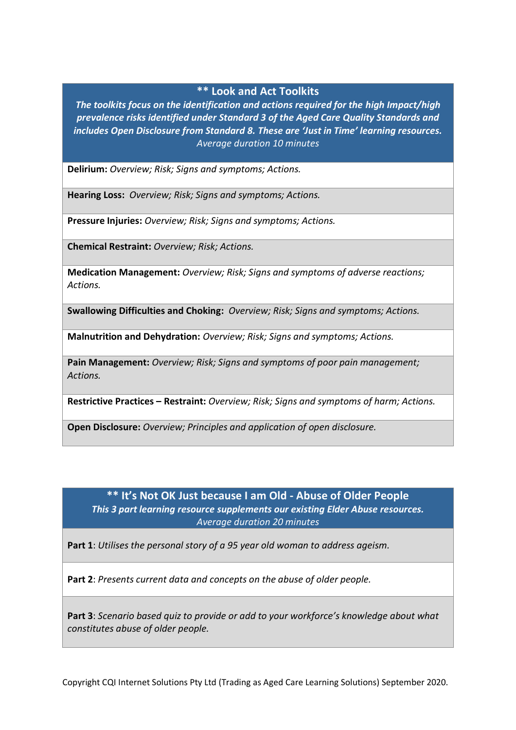#### **\*\* Look and Act Toolkits**

*The toolkits focus on the identification and actions required for the high Impact/high prevalence risks identified under Standard 3 of the Aged Care Quality Standards and includes Open Disclosure from Standard 8. These are 'Just in Time' learning resources. Average duration 10 minutes*

**Delirium:** *Overview; Risk; Signs and symptoms; Actions.*

**Hearing Loss:** *Overview; Risk; Signs and symptoms; Actions.*

**Pressure Injuries:** *Overview; Risk; Signs and symptoms; Actions.*

**Chemical Restraint:** *Overview; Risk; Actions.*

**Medication Management:** *Overview; Risk; Signs and symptoms of adverse reactions; Actions.*

**Swallowing Difficulties and Choking:** *Overview; Risk; Signs and symptoms; Actions.*

**Malnutrition and Dehydration:** *Overview; Risk; Signs and symptoms; Actions.*

**Pain Management:** *Overview; Risk; Signs and symptoms of poor pain management; Actions.*

**Restrictive Practices – Restraint:** *Overview; Risk; Signs and symptoms of harm; Actions.*

**Open Disclosure:** *Overview; Principles and application of open disclosure.*

### **\*\* It's Not OK Just because I am Old - Abuse of Older People** *This 3 part learning resource supplements our existing Elder Abuse resources. Average duration 20 minutes*

**Part 1**: *Utilises the personal story of a 95 year old woman to address ageism.*

**Part 2**: *Presents current data and concepts on the abuse of older people.*

**Part 3**: *Scenario based quiz to provide or add to your workforce's knowledge about what constitutes abuse of older people.*

Copyright CQI Internet Solutions Pty Ltd (Trading as Aged Care Learning Solutions) September 2020.